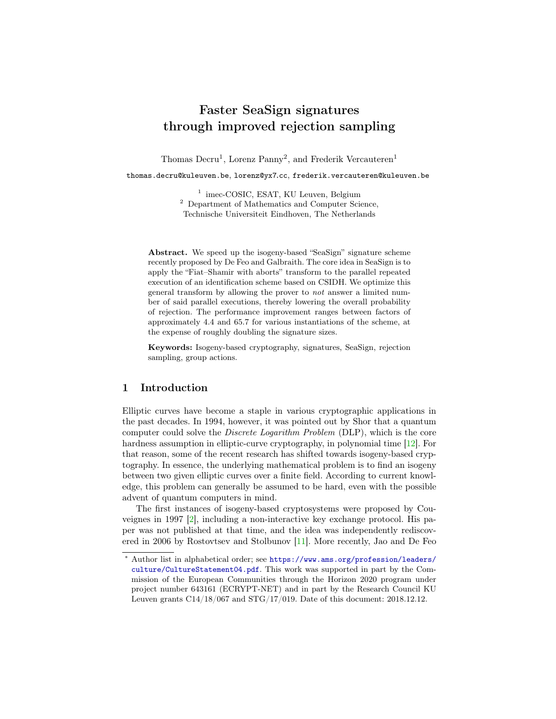# Faster SeaSign signatures through improved rejection sampling

Thomas Decru<sup>1</sup>, Lorenz Panny<sup>2</sup>, and Frederik Vercauteren<sup>1</sup>

thomas.decru@kuleuven.be, lorenz@yx7.cc, frederik.vercauteren@kuleuven.be

<sup>1</sup> imec-COSIC, ESAT, KU Leuven, Belgium <sup>2</sup> Department of Mathematics and Computer Science, Technische Universiteit Eindhoven, The Netherlands

Abstract. We speed up the isogeny-based "SeaSign" signature scheme recently proposed by De Feo and Galbraith. The core idea in SeaSign is to apply the "Fiat–Shamir with aborts" transform to the parallel repeated execution of an identification scheme based on CSIDH. We optimize this general transform by allowing the prover to not answer a limited number of said parallel executions, thereby lowering the overall probability of rejection. The performance improvement ranges between factors of approximately 4.4 and 65.7 for various instantiations of the scheme, at the expense of roughly doubling the signature sizes.

Keywords: Isogeny-based cryptography, signatures, SeaSign, rejection sampling, group actions.

## 1 Introduction

Elliptic curves have become a staple in various cryptographic applications in the past decades. In 1994, however, it was pointed out by Shor that a quantum computer could solve the Discrete Logarithm Problem (DLP), which is the core hardness assumption in elliptic-curve cryptography, in polynomial time [\[12\]](#page-11-0). For that reason, some of the recent research has shifted towards isogeny-based cryptography. In essence, the underlying mathematical problem is to find an isogeny between two given elliptic curves over a finite field. According to current knowledge, this problem can generally be assumed to be hard, even with the possible advent of quantum computers in mind.

The first instances of isogeny-based cryptosystems were proposed by Couveignes in 1997 [\[2\]](#page-11-1), including a non-interactive key exchange protocol. His paper was not published at that time, and the idea was independently rediscovered in 2006 by Rostovtsev and Stolbunov [\[11\]](#page-11-2). More recently, Jao and De Feo

Author list in alphabetical order; see [https://www.ams.org/profession/leaders/](https://www.ams.org/profession/leaders/culture/CultureStatement04.pdf) [culture/CultureStatement04.pdf](https://www.ams.org/profession/leaders/culture/CultureStatement04.pdf). This work was supported in part by the Commission of the European Communities through the Horizon 2020 program under project number 643161 (ECRYPT-NET) and in part by the Research Council KU Leuven grants C14/18/067 and STG/17/019. Date of this document: 2018.12.12.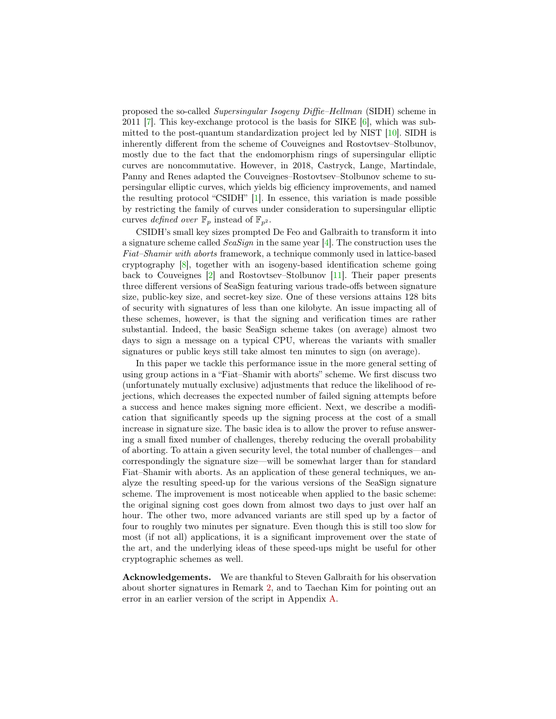proposed the so-called Supersingular Isogeny Diffie–Hellman (SIDH) scheme in 2011 [\[7\]](#page-11-3). This key-exchange protocol is the basis for SIKE [\[6\]](#page-11-4), which was submitted to the post-quantum standardization project led by NIST [\[10\]](#page-11-5). SIDH is inherently different from the scheme of Couveignes and Rostovtsev–Stolbunov, mostly due to the fact that the endomorphism rings of supersingular elliptic curves are noncommutative. However, in 2018, Castryck, Lange, Martindale, Panny and Renes adapted the Couveignes–Rostovtsev–Stolbunov scheme to supersingular elliptic curves, which yields big efficiency improvements, and named the resulting protocol "CSIDH" [\[1\]](#page-11-6). In essence, this variation is made possible by restricting the family of curves under consideration to supersingular elliptic curves defined over  $\mathbb{F}_p$  instead of  $\mathbb{F}_{p^2}$ .

CSIDH's small key sizes prompted De Feo and Galbraith to transform it into a signature scheme called SeaSign in the same year [\[4\]](#page-11-7). The construction uses the Fiat–Shamir with aborts framework, a technique commonly used in lattice-based cryptography [\[8\]](#page-11-8), together with an isogeny-based identification scheme going back to Couveignes [\[2\]](#page-11-1) and Rostovtsev–Stolbunov [\[11\]](#page-11-2). Their paper presents three different versions of SeaSign featuring various trade-offs between signature size, public-key size, and secret-key size. One of these versions attains 128 bits of security with signatures of less than one kilobyte. An issue impacting all of these schemes, however, is that the signing and verification times are rather substantial. Indeed, the basic SeaSign scheme takes (on average) almost two days to sign a message on a typical CPU, whereas the variants with smaller signatures or public keys still take almost ten minutes to sign (on average).

In this paper we tackle this performance issue in the more general setting of using group actions in a "Fiat–Shamir with aborts" scheme. We first discuss two (unfortunately mutually exclusive) adjustments that reduce the likelihood of rejections, which decreases the expected number of failed signing attempts before a success and hence makes signing more efficient. Next, we describe a modification that significantly speeds up the signing process at the cost of a small increase in signature size. The basic idea is to allow the prover to refuse answering a small fixed number of challenges, thereby reducing the overall probability of aborting. To attain a given security level, the total number of challenges—and correspondingly the signature size—will be somewhat larger than for standard Fiat–Shamir with aborts. As an application of these general techniques, we analyze the resulting speed-up for the various versions of the SeaSign signature scheme. The improvement is most noticeable when applied to the basic scheme: the original signing cost goes down from almost two days to just over half an hour. The other two, more advanced variants are still sped up by a factor of four to roughly two minutes per signature. Even though this is still too slow for most (if not all) applications, it is a significant improvement over the state of the art, and the underlying ideas of these speed-ups might be useful for other cryptographic schemes as well.

Acknowledgements. We are thankful to Steven Galbraith for his observation about shorter signatures in Remark [2,](#page-7-0) and to Taechan Kim for pointing out an error in an earlier version of the script in Appendix [A.](#page-12-0)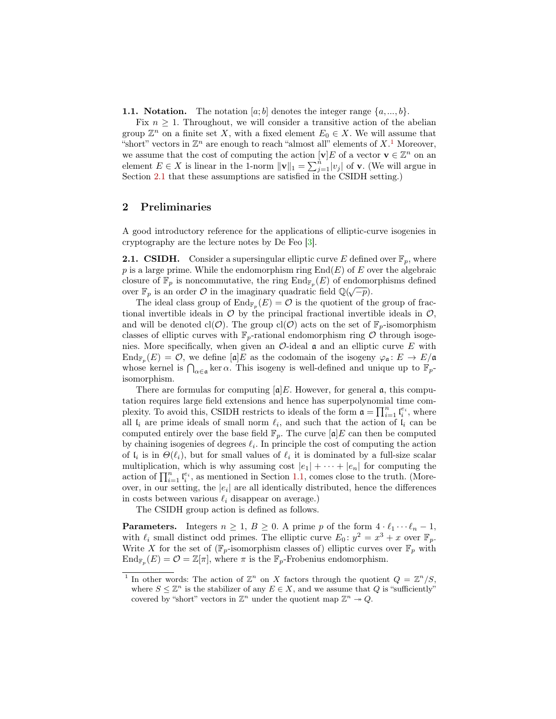<span id="page-2-2"></span>**1.1. Notation.** The notation  $[a; b]$  denotes the integer range  $\{a, ..., b\}$ .

Fix  $n \geq 1$ . Throughout, we will consider a transitive action of the abelian group  $\mathbb{Z}^n$  on a finite set X, with a fixed element  $E_0 \in X$ . We will assume that "short" vectors in  $\mathbb{Z}^n$  are enough to reach "almost all" elements of  $X$ <sup>[1](#page-2-0)</sup>. Moreover, we assume that the cost of computing the action  $[v]E$  of a vector  $v \in \mathbb{Z}^n$  on an element  $E \in X$  is linear in the 1-norm  $||\mathbf{v}||_1 = \sum_{j=1}^{n} |v_j|$  of **v**. (We will argue in Section [2.1](#page-2-1) that these assumptions are satisfied in the CSIDH setting.)

## 2 Preliminaries

A good introductory reference for the applications of elliptic-curve isogenies in cryptography are the lecture notes by De Feo [\[3\]](#page-11-9).

<span id="page-2-1"></span>**2.1. CSIDH.** Consider a supersingular elliptic curve E defined over  $\mathbb{F}_p$ , where p is a large prime. While the endomorphism ring  $End(E)$  of E over the algebraic closure of  $\mathbb{F}_p$  is noncommutative, the ring  $\text{End}_{\mathbb{F}_p}(E)$  of endomorphisms defined over  $\mathbb{F}_p$  is an order  $\mathcal O$  in the imaginary quadratic field  $\mathbb{Q}(\sqrt{-p})$ .

The ideal class group of  $\text{End}_{\mathbb{F}_p}(E) = \mathcal{O}$  is the quotient of the group of fractional invertible ideals in  $\mathcal O$  by the principal fractional invertible ideals in  $\mathcal O$ , and will be denoted cl( $\mathcal{O}$ ). The group cl( $\mathcal{O}$ ) acts on the set of  $\mathbb{F}_p$ -isomorphism classes of elliptic curves with  $\mathbb{F}_p$ -rational endomorphism ring  $\mathcal O$  through isogenies. More specifically, when given an  $\mathcal{O}$ -ideal  $\mathfrak{a}$  and an elliptic curve E with  $\text{End}_{\mathbb{F}_p}(E) = \mathcal{O},$  we define  $[\mathfrak{a}]E$  as the codomain of the isogeny  $\varphi_{\mathfrak{a}} \colon E \to E/\mathfrak{a}$ whose kernel is  $\bigcap_{\alpha \in \mathfrak{a}} \ker \alpha$ . This isogeny is well-defined and unique up to  $\mathbb{F}_p$ isomorphism.

There are formulas for computing  $[a]E$ . However, for general  $a$ , this computation requires large field extensions and hence has superpolynomial time complexity. To avoid this, CSIDH restricts to ideals of the form  $\mathfrak{a} = \prod_{i=1}^n \mathfrak{l}_i^{e_i}$ , where all  $\mathfrak{l}_i$  are prime ideals of small norm  $\ell_i$ , and such that the action of  $\mathfrak{l}_i$  can be computed entirely over the base field  $\mathbb{F}_p$ . The curve  $[\mathfrak{a}]E$  can then be computed by chaining isogenies of degrees  $\ell_i$ . In principle the cost of computing the action of  $\mathfrak{l}_i$  is in  $\Theta(\ell_i)$ , but for small values of  $\ell_i$  it is dominated by a full-size scalar multiplication, which is why assuming cost  $|e_1| + \cdots + |e_n|$  for computing the action of  $\prod_{i=1}^{n} \mathfrak{l}_{i}^{e_{i}}$ , as mentioned in Section [1.1,](#page-2-2) comes close to the truth. (Moreover, in our setting, the  $|e_i|$  are all identically distributed, hence the differences in costs between various  $\ell_i$  disappear on average.)

The CSIDH group action is defined as follows.

**Parameters.** Integers  $n \geq 1, B \geq 0$ . A prime p of the form  $4 \cdot \ell_1 \cdots \ell_n - 1$ , with  $\ell_i$  small distinct odd primes. The elliptic curve  $E_0$ :  $y^2 = x^3 + x$  over  $\mathbb{F}_p$ . Write X for the set of  $(\mathbb{F}_p$ -isomorphism classes of) elliptic curves over  $\mathbb{F}_p$  with  $\text{End}_{\mathbb{F}_p}(E) = \mathcal{O} = \mathbb{Z}[\pi],$  where  $\pi$  is the  $\mathbb{F}_p$ -Frobenius endomorphism.

<span id="page-2-0"></span><sup>&</sup>lt;sup>1</sup> In other words: The action of  $\mathbb{Z}^n$  on X factors through the quotient  $Q = \mathbb{Z}^n/S$ , where  $S \leq \mathbb{Z}^n$  is the stabilizer of any  $E \in X$ , and we assume that Q is "sufficiently" covered by "short" vectors in  $\mathbb{Z}^n$  under the quotient map  $\mathbb{Z}^n \to Q$ .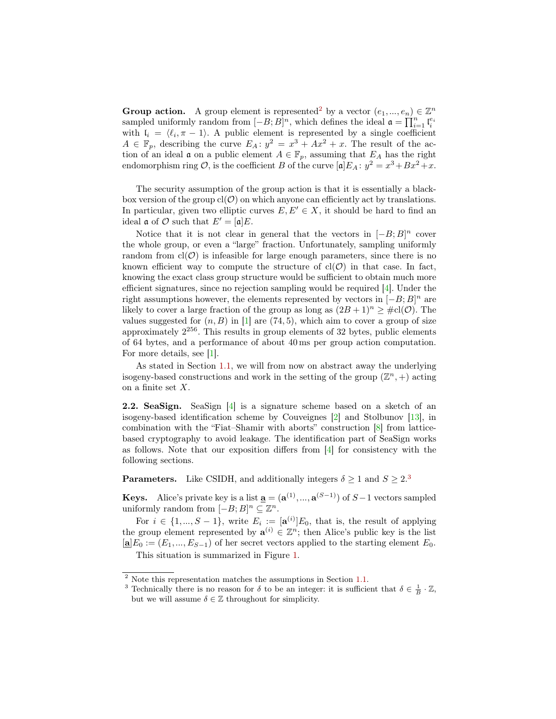**Group action.** A group element is represented<sup>[2](#page-3-0)</sup> by a vector  $(e_1, ..., e_n) \in \mathbb{Z}^n$ sampled uniformly random from  $[-B;B]^n$ , which defines the ideal  $\mathfrak{a} = \prod_{i=1}^n \mathfrak{l}_i^{e_i}$ with  $I_i = \langle \ell_i, \pi - 1 \rangle$ . A public element is represented by a single coefficient  $A \in \mathbb{F}_p$ , describing the curve  $E_A$ :  $y^2 = x^3 + Ax^2 + x$ . The result of the action of an ideal  $\mathfrak a$  on a public element  $A \in \mathbb{F}_p$ , assuming that  $E_A$  has the right endomorphism ring  $\mathcal{O}$ , is the coefficient B of the curve  $[\mathfrak{a}]E_A$ :  $y^2 = x^3 + Bx^2 + x$ .

The security assumption of the group action is that it is essentially a blackbox version of the group  $cl(\mathcal{O})$  on which anyone can efficiently act by translations. In particular, given two elliptic curves  $E, E' \in X$ , it should be hard to find an ideal  $\mathfrak a$  of  $\mathcal O$  such that  $E' = [\mathfrak a]E$ .

Notice that it is not clear in general that the vectors in  $[-B;B]^n$  cover the whole group, or even a "large" fraction. Unfortunately, sampling uniformly random from  $cl(\mathcal{O})$  is infeasible for large enough parameters, since there is no known efficient way to compute the structure of  $cl(\mathcal{O})$  in that case. In fact, knowing the exact class group structure would be sufficient to obtain much more efficient signatures, since no rejection sampling would be required [\[4\]](#page-11-7). Under the right assumptions however, the elements represented by vectors in  $[-B;B]^n$  are likely to cover a large fraction of the group as long as  $(2B+1)^n \geq \text{\#cl}(\mathcal{O})$ . The values suggested for  $(n, B)$  in [\[1\]](#page-11-6) are (74, 5), which aim to cover a group of size approximately  $2^{256}$ . This results in group elements of 32 bytes, public elements of 64 bytes, and a performance of about 40 ms per group action computation. For more details, see [\[1\]](#page-11-6).

As stated in Section [1.1,](#page-2-2) we will from now on abstract away the underlying isogeny-based constructions and work in the setting of the group  $(\mathbb{Z}^n, +)$  acting on a finite set  $X$ .

<span id="page-3-2"></span>2.2. SeaSign. SeaSign [\[4\]](#page-11-7) is a signature scheme based on a sketch of an isogeny-based identification scheme by Couveignes [\[2\]](#page-11-1) and Stolbunov [\[13\]](#page-11-10), in combination with the "Fiat–Shamir with aborts" construction [\[8\]](#page-11-8) from latticebased cryptography to avoid leakage. The identification part of SeaSign works as follows. Note that our exposition differs from [\[4\]](#page-11-7) for consistency with the following sections.

**Parameters.** Like CSIDH, and additionally integers  $\delta \geq 1$  and  $S \geq 2.3$  $S \geq 2.3$ 

**Keys.** Alice's private key is a list  $\underline{\mathbf{a}} = (\mathbf{a}^{(1)}, ..., \mathbf{a}^{(S-1)})$  of  $S-1$  vectors sampled uniformly random from  $[-B;B]^n \subseteq \mathbb{Z}^n$ .

For  $i \in \{1, ..., S-1\}$ , write  $E_i := [\mathbf{a}^{(i)}]E_0$ , that is, the result of applying the group element represented by  $\mathbf{a}^{(i)} \in \mathbb{Z}^n$ ; then Alice's public key is the list  $[\mathbf{a}]E_0 := (E_1, ..., E_{S-1})$  of her secret vectors applied to the starting element  $E_0$ .

This situation is summarized in Figure [1.](#page-4-0)

<span id="page-3-0"></span><sup>2</sup> Note this representation matches the assumptions in Section [1.1.](#page-2-2)

<span id="page-3-1"></span><sup>&</sup>lt;sup>3</sup> Technically there is no reason for  $\delta$  to be an integer: it is sufficient that  $\delta \in \frac{1}{B} \cdot \mathbb{Z}$ , but we will assume  $\delta \in \mathbb{Z}$  throughout for simplicity.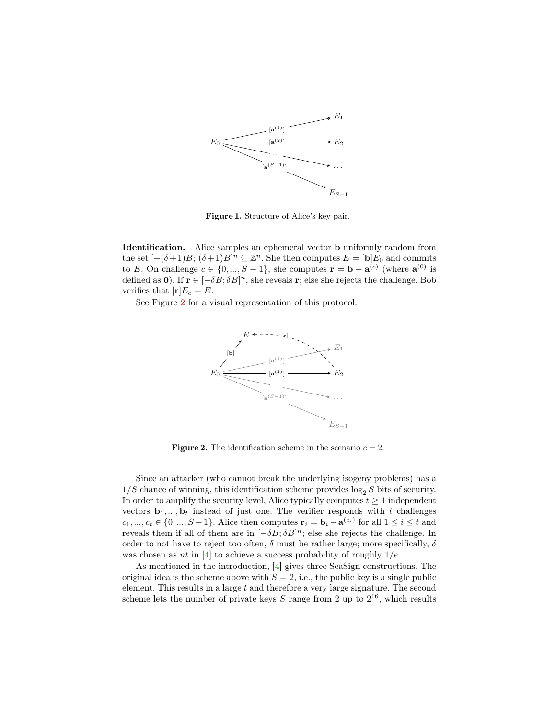

<span id="page-4-0"></span>Figure 1. Structure of Alice's key pair.

Identification. Alice samples an ephemeral vector b uniformly random from the set  $[-(\delta+1)B; (\delta+1)B]^n \subseteq \mathbb{Z}^n$ . She then computes  $E = [\mathbf{b}]E_0$  and commits to E. On challenge  $c \in \{0, ..., S-1\}$ , she computes  $\mathbf{r} = \mathbf{b} - \mathbf{a}^{(c)}$  (where  $\mathbf{a}^{(0)}$  is defined as 0). If  $\mathbf{r} \in [-\delta B; \delta B]^n$ , she reveals r; else she rejects the challenge. Bob verifies that  $[r]E_c = E$ .

See Figure [2](#page-4-1) for a visual representation of this protocol.



<span id="page-4-1"></span>**Figure 2.** The identification scheme in the scenario  $c = 2$ .

Since an attacker (who cannot break the underlying isogeny problems) has a  $1/S$  chance of winning, this identification scheme provides  $\log_2 S$  bits of security. In order to amplify the security level, Alice typically computes  $t \geq 1$  independent vectors  $\mathbf{b}_1, ..., \mathbf{b}_t$  instead of just one. The verifier responds with t challenges  $c_1, ..., c_t \in \{0, ..., S-1\}$ . Alice then computes  $\mathbf{r}_i = \mathbf{b}_i - \mathbf{a}^{(c_i)}$  for all  $1 \le i \le t$  and reveals them if all of them are in  $[-\delta B; \delta B]^n$ ; else she rejects the challenge. In order to not have to reject too often,  $\delta$  must be rather large; more specifically,  $\delta$ was chosen as *nt* in [\[4\]](#page-11-7) to achieve a success probability of roughly  $1/e$ .

As mentioned in the introduction, [\[4\]](#page-11-7) gives three SeaSign constructions. The original idea is the scheme above with  $S = 2$ , i.e., the public key is a single public element. This results in a large  $t$  and therefore a very large signature. The second scheme lets the number of private keys  $S$  range from 2 up to  $2^{16}$ , which results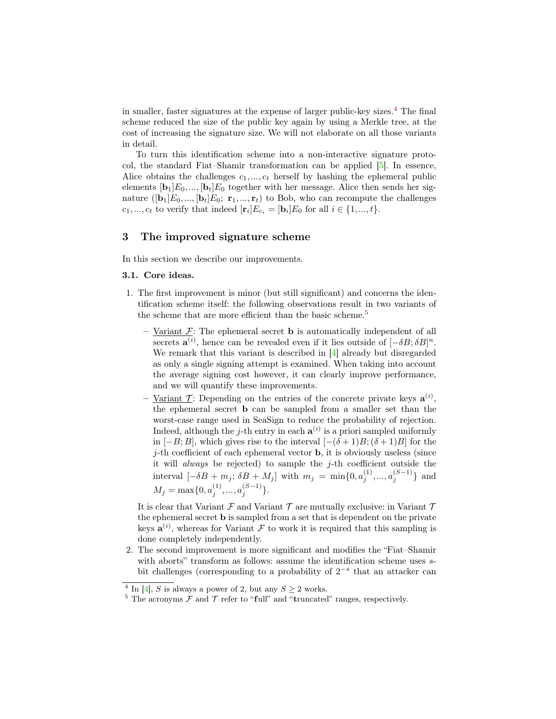in smaller, faster signatures at the expense of larger public-key sizes.<sup>[4](#page-5-0)</sup> The final scheme reduced the size of the public key again by using a Merkle tree, at the cost of increasing the signature size. We will not elaborate on all those variants in detail.

To turn this identification scheme into a non-interactive signature protocol, the standard Fiat–Shamir transformation can be applied [\[5\]](#page-11-11). In essence, Alice obtains the challenges  $c_1, ..., c_t$  herself by hashing the ephemeral public elements  $[\mathbf{b}_1]E_0, ..., [\mathbf{b}_t]E_0$  together with her message. Alice then sends her signature  $([{\bf b}_1]E_0,...,[{\bf b}_t]E_0; {\bf r}_1,...,{\bf r}_t)$  to Bob, who can recompute the challenges  $c_1, ..., c_t$  to verify that indeed  $[\mathbf{r}_i]E_{c_i} = [\mathbf{b}_i]E_0$  for all  $i \in \{1, ..., t\}$ .

## 3 The improved signature scheme

In this section we describe our improvements.

### 3.1. Core ideas.

- 1. The first improvement is minor (but still significant) and concerns the identification scheme itself: the following observations result in two variants of the scheme that are more efficient than the basic scheme.<sup>[5](#page-5-1)</sup>
	- Variant  $\mathcal{F}$ : The ephemeral secret **b** is automatically independent of all secrets  $\mathbf{a}^{(i)}$ , hence can be revealed even if it lies outside of  $[-\delta B; \delta B]^n$ . We remark that this variant is described in [\[4\]](#page-11-7) already but disregarded as only a single signing attempt is examined. When taking into account the average signing cost however, it can clearly improve performance, and we will quantify these improvements.
	- Variant  $\mathcal{T}$ : Depending on the entries of the concrete private keys  $\mathbf{a}^{(i)}$ , the ephemeral secret b can be sampled from a smaller set than the worst-case range used in SeaSign to reduce the probability of rejection. Indeed, although the *j*-th entry in each  $a^{(i)}$  is a priori sampled uniformly in [−B; B], which gives rise to the interval  $[-(\delta+1)B; (\delta+1)B]$  for the  $j$ -th coefficient of each ephemeral vector **b**, it is obviously useless (since it will *always* be rejected) to sample the  $j$ -th coefficient outside the interval  $[-\delta B + m_j; \delta B + M_j]$  with  $m_j = \min\{0, a_j^{(1)}, ..., a_j^{(S-1)}\}$  and  $M_j = \max\{0, a_j^{(1)}, ..., a_j^{(S-1)}\}.$

It is clear that Variant  $\mathcal F$  and Variant  $\mathcal T$  are mutually exclusive: in Variant  $\mathcal T$ the ephemeral secret b is sampled from a set that is dependent on the private keys  $\mathbf{a}^{(i)}$ , whereas for Variant F to work it is required that this sampling is done completely independently.

2. The second improvement is more significant and modifies the "Fiat–Shamir with aborts" transform as follows: assume the identification scheme uses  $s$ bit challenges (corresponding to a probability of  $2^{-s}$  that an attacker can

<span id="page-5-0"></span><sup>&</sup>lt;sup>4</sup> In [\[4\]](#page-11-7), S is always a power of 2, but any  $S \geq 2$  works.

<span id="page-5-1"></span><sup>&</sup>lt;sup>5</sup> The acronyms  $\mathcal F$  and  $\mathcal T$  refer to "full" and "truncated" ranges, respectively.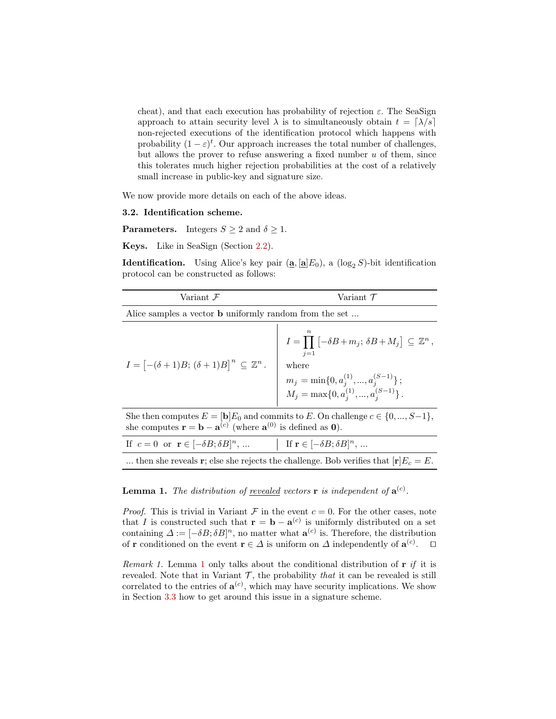cheat), and that each execution has probability of rejection  $\varepsilon$ . The SeaSign approach to attain security level  $\lambda$  is to simultaneously obtain  $t = \lceil \lambda/s \rceil$ non-rejected executions of the identification protocol which happens with probability  $(1 - \varepsilon)^t$ . Our approach increases the total number of challenges, but allows the prover to refuse answering a fixed number  $u$  of them, since this tolerates much higher rejection probabilities at the cost of a relatively small increase in public-key and signature size.

We now provide more details on each of the above ideas.

#### <span id="page-6-1"></span>3.2. Identification scheme.

**Parameters.** Integers  $S \geq 2$  and  $\delta \geq 1$ .

Keys. Like in SeaSign (Section [2.2\)](#page-3-2).

**Identification.** Using Alice's key pair  $(\mathbf{a}, [\mathbf{a}]E_0)$ , a  $(\log_2 S)$ -bit identification protocol can be constructed as follows:

| Variant $\mathcal F$                                                          | Variant $\mathcal T$                                                                                                                                                                                                               |  |  |  |  |  |
|-------------------------------------------------------------------------------|------------------------------------------------------------------------------------------------------------------------------------------------------------------------------------------------------------------------------------|--|--|--|--|--|
| Alice samples a vector <b>b</b> uniformly random from the set                 |                                                                                                                                                                                                                                    |  |  |  |  |  |
| $I = \left[ -(\delta + 1)B; (\delta + 1)B \right]^n \subseteq \mathbb{Z}^n$ . | $I = \prod \left[ -\delta B + m_j; \, \delta B + M_j \right] \subseteq \mathbb{Z}^n$ ,<br>$i=1$<br>where<br>$\begin{array}{l} m_j = \min\{0, a_j^{(1)},,a_j^{(S-1)}\}\,;\\ M_j = \max\{0, a_j^{(1)},,a_j^{(S-1)}\}\,. \end{array}$ |  |  |  |  |  |
|                                                                               |                                                                                                                                                                                                                                    |  |  |  |  |  |

She then computes  $E = [\mathbf{b}] E_0$  and commits to E. On challenge  $c \in \{0, ..., S-1\},$ she computes  $\mathbf{r} = \mathbf{b} - \mathbf{a}^{(c)}$  (where  $\mathbf{a}^{(0)}$  is defined as 0).

| If $c = 0$ or $\mathbf{r} \in [-\delta B; \delta B]^n$ , | If $\mathbf{r} \in [-\delta B; \delta B]^n$ ,                                        |
|----------------------------------------------------------|--------------------------------------------------------------------------------------|
|                                                          | then she reveals r; else she rejects the challenge. Bob verifies that $[r]E_c = E$ . |

## <span id="page-6-0"></span>**Lemma 1.** The distribution of <u>revealed</u> vectors **r** is independent of  $\mathbf{a}^{(c)}$ .

*Proof.* This is trivial in Variant  $\mathcal F$  in the event  $c = 0$ . For the other cases, note that I is constructed such that  $\mathbf{r} = \mathbf{b} - \mathbf{a}^{(c)}$  is uniformly distributed on a set containing  $\Delta := [-\delta B; \delta B]^n$ , no matter what  $\mathbf{a}^{(c)}$  is. Therefore, the distribution of **r** conditioned on the event  $\mathbf{r} \in \Delta$  is uniform on  $\Delta$  independently of  $\mathbf{a}^{(c)}$  $\Box$ 

<span id="page-6-2"></span>Remark [1](#page-6-0). Lemma 1 only talks about the conditional distribution of  $\mathbf{r}$  if it is revealed. Note that in Variant  $\mathcal{T}$ , the probability that it can be revealed is still correlated to the entries of  $\mathbf{a}^{(c)}$ , which may have security implications. We show in Section [3.3](#page-7-1) how to get around this issue in a signature scheme.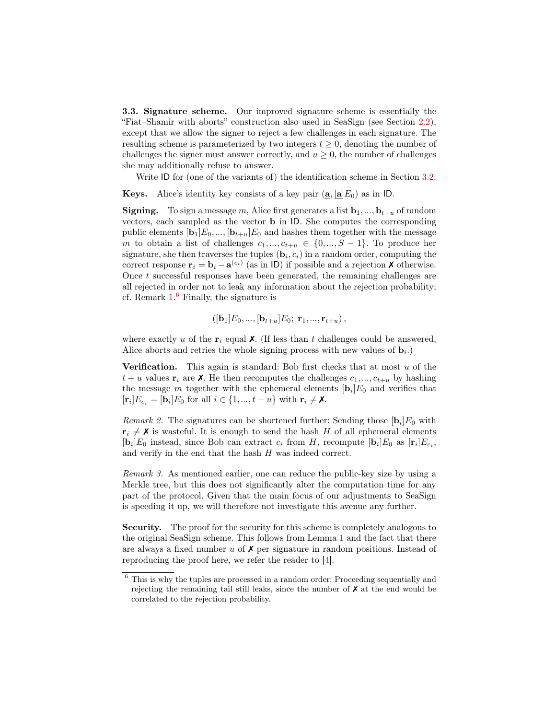<span id="page-7-1"></span>3.3. Signature scheme. Our improved signature scheme is essentially the "Fiat–Shamir with aborts" construction also used in SeaSign (see Section [2.2\)](#page-3-2), except that we allow the signer to reject a few challenges in each signature. The resulting scheme is parameterized by two integers  $t \geq 0$ , denoting the number of challenges the signer must answer correctly, and  $u \geq 0$ , the number of challenges she may additionally refuse to answer.

Write ID for (one of the variants of) the identification scheme in Section [3.2.](#page-6-1)

**Keys.** Alice's identity key consists of a key pair  $(\mathbf{a}, \mathbf{a} | E_0)$  as in ID.

**Signing.** To sign a message m, Alice first generates a list  $\mathbf{b}_1, \ldots, \mathbf{b}_{t+u}$  of random vectors, each sampled as the vector b in ID. She computes the corresponding public elements  $[\mathbf{b}_1]E_0, ..., [\mathbf{b}_{t+u}]E_0$  and hashes them together with the message m to obtain a list of challenges  $c_1, ..., c_{t+u} \in \{0, ..., S-1\}$ . To produce her signature, she then traverses the tuples  $(\mathbf{b}_i, c_i)$  in a random order, computing the correct response  $\mathbf{r}_i = \mathbf{b}_i - \mathbf{a}^{(c_i)}$  (as in ID) if possible and a rejection **X** otherwise. Once t successful responses have been generated, the remaining challenges are all rejected in order not to leak any information about the rejection probability; cf. Remark  $1<sup>6</sup>$  $1<sup>6</sup>$  $1<sup>6</sup>$  Finally, the signature is

$$
([\mathbf{b}_1]E_0, ..., [\mathbf{b}_{t+u}]E_0; \mathbf{r}_1, ..., \mathbf{r}_{t+u}),
$$

where exactly u of the  $r_i$  equal  $\chi$ . (If less than t challenges could be answered, Alice aborts and retries the whole signing process with new values of  $\mathbf{b}_i$ .)

**Verification.** This again is standard: Bob first checks that at most  $u$  of the  $t + u$  values  $\mathbf{r}_i$  are  $\mathbf{X}$ . He then recomputes the challenges  $c_1, ..., c_{t+u}$  by hashing the message m together with the ephemeral elements  $[\mathbf{b}_i]E_0$  and verifies that  $[\mathbf{r}_i]E_{c_i} = [\mathbf{b}_i]E_0$  for all  $i \in \{1, ..., t + u\}$  with  $\mathbf{r}_i \neq \mathbf{X}$ .

<span id="page-7-0"></span>*Remark 2.* The signatures can be shortened further: Sending those  $[\mathbf{b}_i]E_0$  with  $\mathbf{r}_i \neq \mathbf{X}$  is wasteful. It is enough to send the hash H of all ephemeral elements  $[\mathbf{b}_i]E_0$  instead, since Bob can extract  $c_i$  from H, recompute  $[\mathbf{b}_i]E_0$  as  $[\mathbf{r}_i]E_{c_i}$ , and verify in the end that the hash H was indeed correct.

Remark 3. As mentioned earlier, one can reduce the public-key size by using a Merkle tree, but this does not significantly alter the computation time for any part of the protocol. Given that the main focus of our adjustments to SeaSign is speeding it up, we will therefore not investigate this avenue any further.

Security. The proof for the security for this scheme is completely analogous to the original SeaSign scheme. This follows from Lemma [1](#page-6-0) and the fact that there are always a fixed number u of  $\chi$  per signature in random positions. Instead of reproducing the proof here, we refer the reader to [\[4\]](#page-11-7).

<span id="page-7-2"></span><sup>6</sup> This is why the tuples are processed in a random order: Proceeding sequentially and rejecting the remaining tail still leaks, since the number of  $X$  at the end would be correlated to the rejection probability.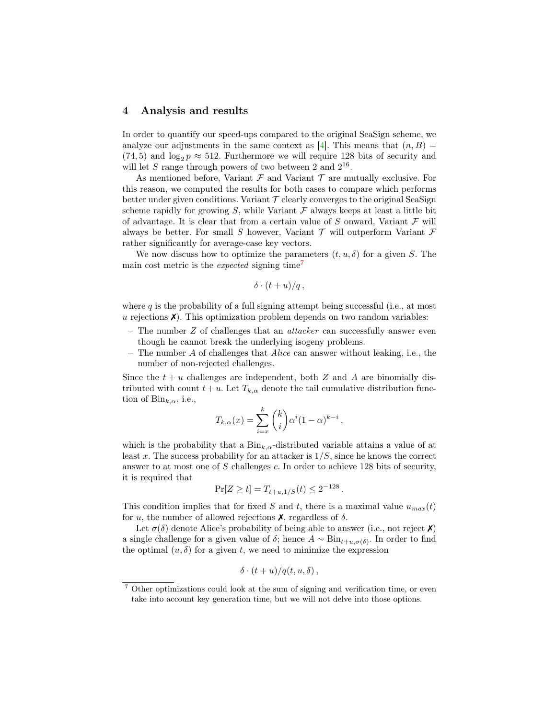## 4 Analysis and results

In order to quantify our speed-ups compared to the original SeaSign scheme, we analyze our adjustments in the same context as [\[4\]](#page-11-7). This means that  $(n, B)$  =  $(74, 5)$  and  $\log_2 p \approx 512$ . Furthermore we will require 128 bits of security and will let S range through powers of two between 2 and  $2^{16}$ .

As mentioned before, Variant  $\mathcal F$  and Variant  $\mathcal T$  are mutually exclusive. For this reason, we computed the results for both cases to compare which performs better under given conditions. Variant  $\mathcal T$  clearly converges to the original SeaSign scheme rapidly for growing S, while Variant  $\mathcal F$  always keeps at least a little bit of advantage. It is clear that from a certain value of  $S$  onward, Variant  $\mathcal F$  will always be better. For small S however, Variant  $\mathcal T$  will outperform Variant  $\mathcal F$ rather significantly for average-case key vectors.

We now discuss how to optimize the parameters  $(t, u, \delta)$  for a given S. The main cost metric is the *expected* signing time<sup>[7](#page-8-0)</sup>

$$
\delta\cdot (t+u)/q\,,
$$

where  $q$  is the probability of a full signing attempt being successful (i.e., at most  $u$  rejections  $\chi$ ). This optimization problem depends on two random variables:

- The number  $Z$  of challenges that an *attacker* can successfully answer even though he cannot break the underlying isogeny problems.
- $-$  The number A of challenges that Alice can answer without leaking, i.e., the number of non-rejected challenges.

Since the  $t + u$  challenges are independent, both Z and A are binomially distributed with count  $t + u$ . Let  $T_{k,\alpha}$  denote the tail cumulative distribution function of  $\text{Bin}_{k,\alpha}$ , i.e.,

$$
T_{k,\alpha}(x) = \sum_{i=x}^{k} {k \choose i} \alpha^{i} (1-\alpha)^{k-i},
$$

which is the probability that a  $\text{Bin}_{k,\alpha}$ -distributed variable attains a value of at least x. The success probability for an attacker is  $1/S$ , since he knows the correct answer to at most one of  $S$  challenges  $c$ . In order to achieve 128 bits of security, it is required that

$$
\Pr[Z \ge t] = T_{t+u,1/S}(t) \le 2^{-128}.
$$

This condition implies that for fixed S and t, there is a maximal value  $u_{max}(t)$ for u, the number of allowed rejections  $\chi$ , regardless of  $\delta$ .

Let  $\sigma(\delta)$  denote Alice's probability of being able to answer (i.e., not reject  $\lambda$ ) a single challenge for a given value of  $\delta$ ; hence  $A \sim Bin_{t+u,\sigma(\delta)}$ . In order to find the optimal  $(u, \delta)$  for a given t, we need to minimize the expression

$$
\delta\cdot (t+u)/q(t,u,\delta)\,,
$$

<span id="page-8-0"></span><sup>7</sup> Other optimizations could look at the sum of signing and verification time, or even take into account key generation time, but we will not delve into those options.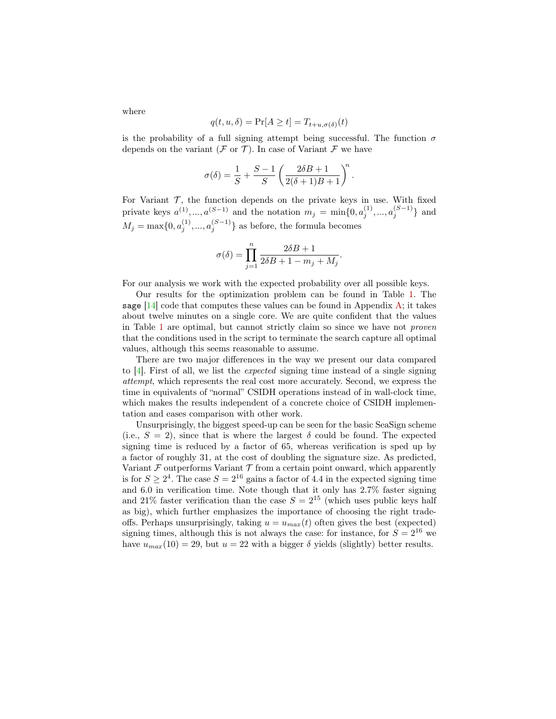$q(t, u, \delta) = \Pr[A \ge t] = T_{t+u, \sigma(\delta)}(t)$ 

is the probability of a full signing attempt being successful. The function  $\sigma$ depends on the variant ( $\mathcal F$  or  $\mathcal T$ ). In case of Variant  $\mathcal F$  we have

$$
\sigma(\delta) = \frac{1}{S} + \frac{S-1}{S} \left( \frac{2\delta B + 1}{2(\delta + 1)B + 1} \right)^n.
$$

For Variant  $\mathcal{T}$ , the function depends on the private keys in use. With fixed private keys  $a^{(1)},..., a^{(S-1)}$  and the notation  $m_j = \min\{0, a_j^{(1)},..., a_j^{(S-1)}\}$  and  $M_j = \max\{0, a_j^{(1)}, \dots, a_j^{(S-1)}\}$  as before, the formula becomes

$$
\sigma(\delta) = \prod_{j=1}^{n} \frac{2\delta B + 1}{2\delta B + 1 - m_j + M_j}.
$$

For our analysis we work with the expected probability over all possible keys.

Our results for the optimization problem can be found in Table [1.](#page-10-0) The sage  $[14]$  code that computes these values can be found in Appendix [A;](#page-12-0) it takes about twelve minutes on a single core. We are quite confident that the values in Table [1](#page-10-0) are optimal, but cannot strictly claim so since we have not proven that the conditions used in the script to terminate the search capture all optimal values, although this seems reasonable to assume.

There are two major differences in the way we present our data compared to  $[4]$ . First of all, we list the *expected* signing time instead of a single signing attempt, which represents the real cost more accurately. Second, we express the time in equivalents of "normal" CSIDH operations instead of in wall-clock time, which makes the results independent of a concrete choice of CSIDH implementation and eases comparison with other work.

Unsurprisingly, the biggest speed-up can be seen for the basic SeaSign scheme (i.e.,  $S = 2$ ), since that is where the largest  $\delta$  could be found. The expected signing time is reduced by a factor of 65, whereas verification is sped up by a factor of roughly 31, at the cost of doubling the signature size. As predicted, Variant  $\mathcal F$  outperforms Variant  $\mathcal T$  from a certain point onward, which apparently is for  $S \geq 2^4$ . The case  $S = 2^{16}$  gains a factor of 4.4 in the expected signing time and 6.0 in verification time. Note though that it only has 2.7% faster signing and 21% faster verification than the case  $S = 2^{15}$  (which uses public keys half as big), which further emphasizes the importance of choosing the right tradeoffs. Perhaps unsurprisingly, taking  $u = u_{max}(t)$  often gives the best (expected) signing times, although this is not always the case: for instance, for  $S = 2^{16}$  we have  $u_{max}(10) = 29$ , but  $u = 22$  with a bigger  $\delta$  yields (slightly) better results.

where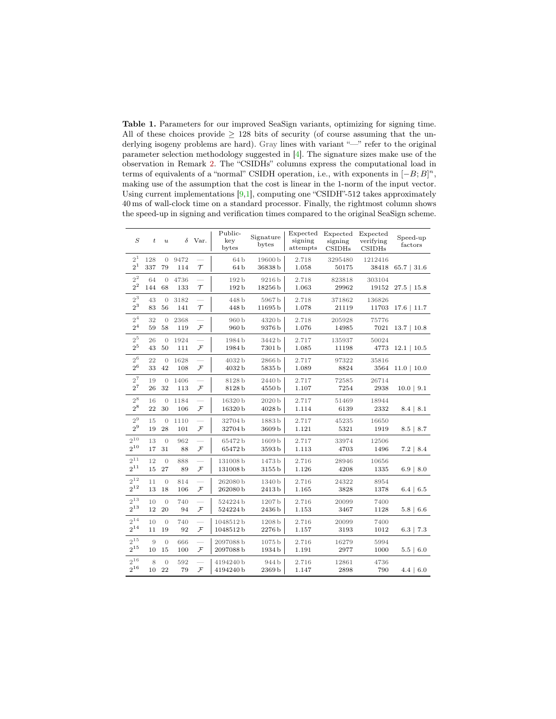<span id="page-10-0"></span>Table 1. Parameters for our improved SeaSign variants, optimizing for signing time. All of these choices provide  $\geq$  128 bits of security (of course assuming that the underlying isogeny problems are hard). Gray lines with variant "-" refer to the original parameter selection methodology suggested in [\[4\]](#page-11-7). The signature sizes make use of the observation in Remark [2.](#page-7-0) The "CSIDHs" columns express the computational load in terms of equivalents of a "normal" CSIDH operation, i.e., with exponents in  $[-B;B]^n$ , making use of the assumption that the cost is linear in the 1-norm of the input vector. Using current implementations  $[9,1]$  $[9,1]$ , computing one "CSIDH"-512 takes approximately 40 ms of wall-clock time on a standard processor. Finally, the rightmost column shows the speed-up in signing and verification times compared to the original SeaSign scheme.

| $\boldsymbol{S}$          | $\boldsymbol{t}$ | $\boldsymbol{u}$     | δ           | Var.                     | Public-<br>key<br>bytes | Signature<br>bytes | Expected<br>signing<br>attempts | Expected<br>signing<br>CSIDHs | Expected<br>verifying<br>CSIDHs | Speed-up<br>factors |
|---------------------------|------------------|----------------------|-------------|--------------------------|-------------------------|--------------------|---------------------------------|-------------------------------|---------------------------------|---------------------|
| $2^{\mathsf{1}}$<br>$2^1$ | 128<br>337       | $\overline{0}$<br>79 | 9472<br>114 | $\tau$                   | 64b<br>64 <sub>b</sub>  | 19600b<br>36838b   | 2.718<br>1.058                  | 3295480<br>50175              | 1212416<br>38418                | $65.7 \mid 31.6$    |
| $2^2$                     | 64               | $\overline{0}$       | 4736        | $\sim$                   | 192 b                   | 9216 b             | 2.718                           | 823818                        | 303104                          | $27.5$   15.8       |
| $2^{\mathrm{2}}$          | 144              | 68                   | 133         | $\tau$                   | 192b                    | 18256b             | 1.063                           | 29962                         | 19152                           |                     |
| $2^3$                     | 43               | $\overline{0}$       | 3182        | -                        | 448 b                   | 5967b              | 2.718                           | 371862                        | 136826                          | $17.6$   11.7       |
| $2^3$                     | 83               | 56                   | 141         | $\tau$                   | 448 b                   | 11695b             | 1.078                           | 21119                         | 11703                           |                     |
| 2 <sup>4</sup>            | 32               | $\overline{0}$       | 2368        | $\overline{\phantom{0}}$ | 960 <sub>b</sub>        | 4320b              | 2.718                           | 205928                        | 75776                           | $13.7 \mid 10.8$    |
| 2 <sup>4</sup>            | 59               | 58                   | 119         | $\mathcal{F}$            | 960 <sub>b</sub>        | 9376b              | 1.076                           | 14985                         | 7021                            |                     |
| $2^5$                     | 26               | $\overline{0}$       | 1924        | $\overline{\phantom{0}}$ | 1984b                   | 3442 b             | 2.717                           | 135937                        | 50024                           | $12.1$   10.5       |
| $2^5$                     | 43               | 50                   | 111         | $\mathcal F$             | 1984b                   | 7301b              | 1.085                           | 11198                         | 4773                            |                     |
| 2 <sup>6</sup>            | 22               | $\overline{0}$       | 1628        | L.                       | 4032 b                  | 2866b              | 2.717                           | 97322                         | 35816                           | $11.0 \mid 10.0$    |
| $2^6$                     | 33               | 42                   | 108         | $\mathcal{F}$            | 4032b                   | 5835b              | 1.089                           | 8824                          | 3564                            |                     |
| $2^7$                     | 19               | $\theta$             | 1406        | $\sim$                   | 8128 b                  | 2440 b             | 2.717                           | 72585                         | 26714                           | 10.0   9.1          |
| $2^7\,$                   | 26               | 32                   | 113         | $\mathcal{F}$            | 8128b                   | 4550b              | 1.107                           | 7254                          | 2938                            |                     |
| $2^8\,$                   | 16               | $\overline{0}$       | 1184        | ÷,                       | 16320b                  | 2020 b             | 2.717                           | 51469                         | 18944                           | 8.4   8.1           |
| $2^8$                     | 22               | 30                   | 106         | $\mathcal{F}$            | 16320b                  | 4028 b             | 1.114                           | 6139                          | 2332                            |                     |
| $2^9$                     | 15               | $\overline{0}$       | 1110        | $\overline{\phantom{0}}$ | 32704b                  | 1883b              | 2.717                           | 45235                         | 16650                           | 8.5   8.7           |
| $2^9$                     | 19               | 28                   | 101         | $\mathcal F$             | 32704b                  | 3609b              | 1.121                           | 5321                          | 1919                            |                     |
| $2^{10}$<br>$2^{10}$      | 13<br>17         | $\overline{0}$<br>31 | 962<br>88   | $\mathcal{F}$            | 65472b<br>65472b        | 1609b<br>3593b     | 2.717<br>1.113                  | 33974<br>4703                 | 12506<br>1496                   | $7.2 \, \, 8.4$     |
| $2^{11}$                  | 12               | $\overline{0}$       | 888         | $\sim$                   | 131008b                 | 1473 b             | 2.716                           | 28946                         | 10656                           | $6.9 \mid 8.0$      |
| $2^{11}$                  | 15               | 27                   | 89          | $\mathcal{F}$            | 131008b                 | 3155 b             | 1.126                           | 4208                          | 1335                            |                     |
| $2^{12}$                  | 11               | $\theta$             | 814         | $\overline{\phantom{a}}$ | 262080b                 | 1340 b             | 2.716                           | 24322                         | 8954                            | $6.4 \, \, 6.5$     |
| $2^{12}$                  | 13               | 18                   | 106         | $\mathcal{F}$            | 262080b                 | 2413 b             | 1.165                           | 3828                          | 1378                            |                     |
| $2^{13}$                  | 10               | $\overline{0}$       | 740         | $\sim$                   | 524224b                 | 1207 b             | 2.716                           | 20099                         | 7400                            | $5.8 \, \, 6.6$     |
| $2^{13}$                  | 12               | 20                   | 94          | $\mathcal{F}$            | 524224b                 | 2436 b             | 1.153                           | 3467                          | 1128                            |                     |
| $2^{14}$                  | 10               | $\overline{0}$       | 740         | $\overline{\phantom{0}}$ | 1048512b                | 1208 b             | 2.716                           | 20099                         | 7400                            | $6.3$   $7.3$       |
| $2^{14}$                  | 11               | 19                   | 92          | $\mathcal{F}$            | 1048512b                | 2276 b             | 1.157                           | 3193                          | 1012                            |                     |
| $2^{15}\,$                | 9                | $\overline{0}$       | 666         | $\overline{\phantom{0}}$ | 2097088b                | 1075 <sub>b</sub>  | 2.716                           | 16279                         | 5994                            | $5.5 \, \, 6.0$     |
| $2^{15}$                  | 10               | 15                   | 100         | ${\mathcal F}$           | 2097088b                | 1934 b             | 1.191                           | 2977                          | 1000                            |                     |
| $2^{16}$                  | 8                | $\overline{0}$       | 592         | $\overline{\phantom{a}}$ | 4194240b                | 944 b              | 2.716                           | 12861                         | 4736                            | $4.4 \, \, 6.0$     |
| $2^{16}$                  | 10               | 22                   | 79          | $\mathcal{F}$            | 4194240b                | $2369\,\mathrm{b}$ | 1.147                           | 2898                          | 790                             |                     |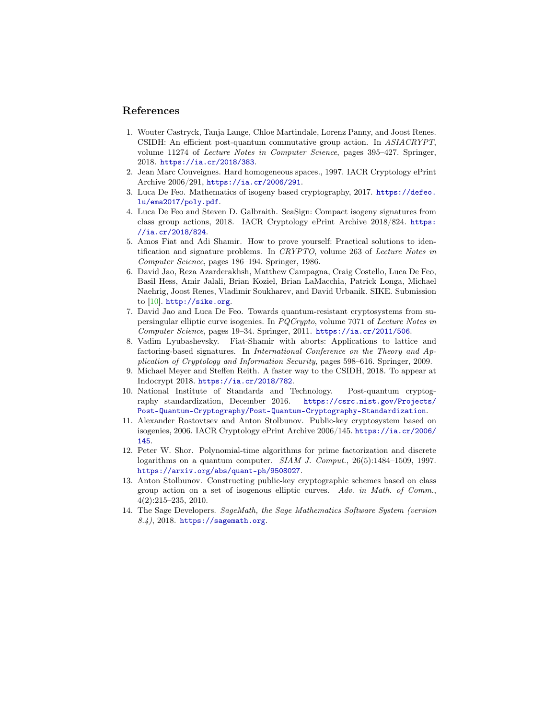## References

- <span id="page-11-6"></span>1. Wouter Castryck, Tanja Lange, Chloe Martindale, Lorenz Panny, and Joost Renes. CSIDH: An efficient post-quantum commutative group action. In ASIACRYPT, volume 11274 of Lecture Notes in Computer Science, pages 395–427. Springer, 2018. <https://ia.cr/2018/383>.
- <span id="page-11-1"></span>2. Jean Marc Couveignes. Hard homogeneous spaces., 1997. IACR Cryptology ePrint Archive 2006/291, <https://ia.cr/2006/291>.
- <span id="page-11-9"></span>3. Luca De Feo. Mathematics of isogeny based cryptography, 2017. [https://defeo.](https://defeo.lu/ema2017/poly.pdf) [lu/ema2017/poly.pdf](https://defeo.lu/ema2017/poly.pdf).
- <span id="page-11-7"></span>4. Luca De Feo and Steven D. Galbraith. SeaSign: Compact isogeny signatures from class group actions, 2018. IACR Cryptology ePrint Archive 2018/824. [https:](https://ia.cr/2018/824) [//ia.cr/2018/824](https://ia.cr/2018/824).
- <span id="page-11-11"></span>5. Amos Fiat and Adi Shamir. How to prove yourself: Practical solutions to identification and signature problems. In CRYPTO, volume 263 of Lecture Notes in Computer Science, pages 186–194. Springer, 1986.
- <span id="page-11-4"></span>6. David Jao, Reza Azarderakhsh, Matthew Campagna, Craig Costello, Luca De Feo, Basil Hess, Amir Jalali, Brian Koziel, Brian LaMacchia, Patrick Longa, Michael Naehrig, Joost Renes, Vladimir Soukharev, and David Urbanik. SIKE. Submission to  $[10]$ . <http://sike.org>.
- <span id="page-11-3"></span>7. David Jao and Luca De Feo. Towards quantum-resistant cryptosystems from supersingular elliptic curve isogenies. In PQCrypto, volume 7071 of Lecture Notes in Computer Science, pages 19–34. Springer, 2011. <https://ia.cr/2011/506>.
- <span id="page-11-8"></span>8. Vadim Lyubashevsky. Fiat-Shamir with aborts: Applications to lattice and factoring-based signatures. In International Conference on the Theory and Application of Cryptology and Information Security, pages 598–616. Springer, 2009.
- <span id="page-11-13"></span>9. Michael Meyer and Steffen Reith. A faster way to the CSIDH, 2018. To appear at Indocrypt 2018. <https://ia.cr/2018/782>.
- <span id="page-11-5"></span>10. National Institute of Standards and Technology. Post-quantum cryptography standardization, December 2016. [https://csrc.nist.gov/Projects/](https://csrc.nist.gov/Projects/Post-Quantum-Cryptography/Post-Quantum-Cryptography-Standardization) [Post-Quantum-Cryptography/Post-Quantum-Cryptography-Standardization](https://csrc.nist.gov/Projects/Post-Quantum-Cryptography/Post-Quantum-Cryptography-Standardization).
- <span id="page-11-2"></span>11. Alexander Rostovtsev and Anton Stolbunov. Public-key cryptosystem based on isogenies, 2006. IACR Cryptology ePrint Archive 2006/145. [https://ia.cr/2006/](https://ia.cr/2006/145) [145](https://ia.cr/2006/145).
- <span id="page-11-0"></span>12. Peter W. Shor. Polynomial-time algorithms for prime factorization and discrete logarithms on a quantum computer. SIAM J. Comput., 26(5):1484-1509, 1997. <https://arxiv.org/abs/quant-ph/9508027>.
- <span id="page-11-10"></span>13. Anton Stolbunov. Constructing public-key cryptographic schemes based on class group action on a set of isogenous elliptic curves. Adv. in Math. of Comm., 4(2):215–235, 2010.
- <span id="page-11-12"></span>14. The Sage Developers. SageMath, the Sage Mathematics Software System (version 8.4), 2018. <https://sagemath.org>.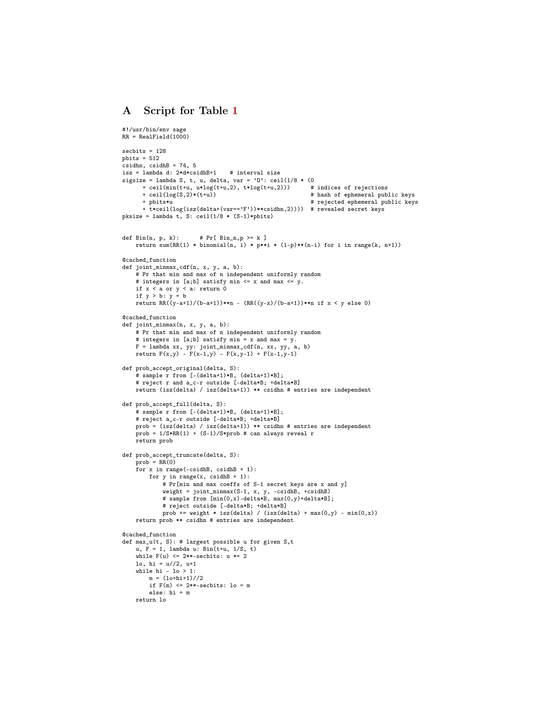## <span id="page-12-0"></span>A Script for Table [1](#page-10-0)

```
#!/usr/bin/env sage
RR = RealField(1000)sechits = 128pbits = 512csidhn, csidhB = 74, 5
isz = lambda d: 2*d*csidhB+1 # interval size
sigsize = lambda S, t, u, delta, var = 'O': ceil(1/8 * (0
+ ceil(min(t+u, u*log(t+u,2), t*log(t+u,2))) # indices of rejections
      + ceil(log(S,2)*(t+u)) <br>+ pbits*u # hash of ephemeral public keys<br>+ pbits*u # rejected ephemeral public key
                                                            # rejected ephemeral public keys
      + t*ceil(log(isz(delta+(var=='F'))**csidhn,2)))) # revealed secret keys
pksize = lambda t, S: ceil(1/8 * (S-1) *pbits)
\texttt{def Bin}(n, p, k): \qquad \quad \verb|# Pr[ Bin_n, p > = k |]return sum(RR(1) * binomial(n, i) * p**i * (1-p)**(n-i) for i in range(k, n+1))
@cached_function
def joint_minmax_cdf(n, x, y, a, b):
    # Pr that min and max of n independent uniformly random
    # integers in [a;b] satisfy min \leq x and max \leq y.
    if x < a or y < a: return 0
    if y > b: y = b
return RR((y-a+1)/(b-a+1))**n - (RR((y-x)/(b-a+1))**n if x < y else 0)
@cached_function
def joint_minmax(n, x, y, a, b):
    # Pr that min and max of n independent uniformly random
    # integers in [a;b] satisfy min = x and max = y.
    F = lambda xx, yy: joint_minmax_cdf(n, xx, yy, a, b)
    return F(x,y) - F(x-1,y) - F(x,y-1) + F(x-1,y-1)def prob_accept_original(delta, S):
    # sample r from [-(delta+1)*B, (delta+1)*B];
    # reject r and a_c-r outside [-delta*B; +delta*B]
    return (isz(delta) / isz(delta+1)) ** csidhn # entries are independent
def prob_accept_full(delta, S):
    # sample r from [-(delta+1)*B, (delta+1)*B];
    # reject a_c-r outside [-delta*B; +delta*B]
    prob = (isz(delta) / isz(delta+1)) ** csidhn # entries are independent
    prob = 1/S*RR(1) + (S-1)/S*prob # can always reveal r
    return prob
def prob_accept_truncate(delta, S):
    prob = RR(0)for x in range(-csidhB, csidhB + 1):
        for y in range(x, \text{csidhB + 1}):
             # Pr[min and max coeffs of S-1 secret keys are x and y]
            weight = joint\_minmax(S-1, x, y, -csidhB, +csidhB)# sample from [\min(0,x)-\text{delta*B}, \max(0,y)+\text{delta*B}];# reject outside [-delta*B; +delta*B]
            prob += weight * isz(delta) / (isz(delta) + max(0,y) - min(0,x))
    return prob ** csidhn # entries are independent
@cached_function
def max_u(t, S): # largest possible u for given S, tu, F = 1, lambda u: Bin(t+u, 1/S, t)
    while F(u) \leq 2**-{\rm{sechits}}: u == 2lo, hi = u//2, u+1
    while hi - \log 1:
        m = (10 + h i + 1) // 2if F(m) \leq 2**-{\rm sechits}: lo = m
        else: hi = m
    return lo
```